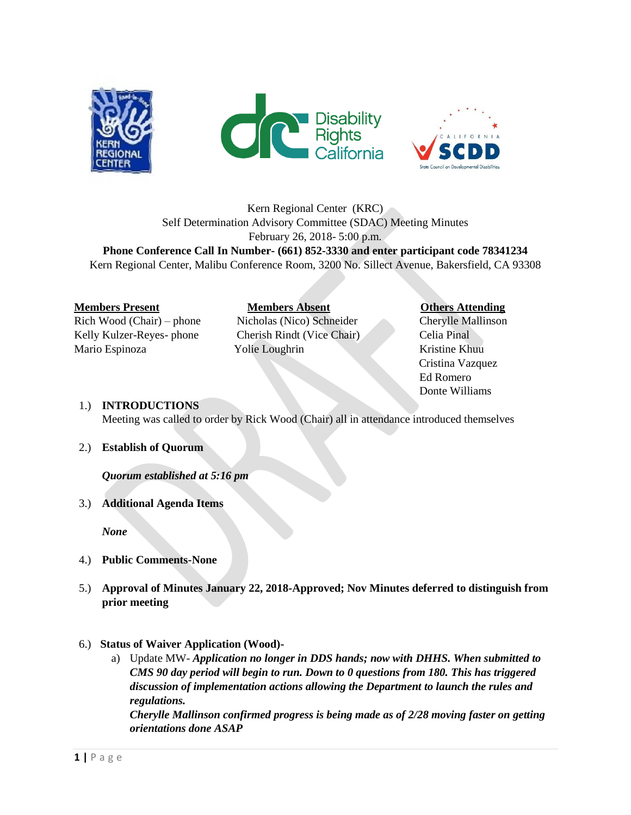





# Kern Regional Center (KRC) Self Determination Advisory Committee (SDAC) Meeting Minutes February 26, 2018- 5:00 p.m.

**Phone Conference Call In Number- (661) 852-3330 and enter participant code 78341234** Kern Regional Center, Malibu Conference Room, 3200 No. Sillect Avenue, Bakersfield, CA 93308

### **Members Present Members Absent Charles Attending**

Rich Wood (Chair) – phone Nicholas (Nico) Schneider Cherylle Mallinson Kelly Kulzer-Reyes- phone Cherish Rindt (Vice Chair) Celia Pinal Mario Espinoza Yolie Loughrin Kristine Khuu

 Cristina Vazquez Ed Romero Donte Williams

### 1.) **INTRODUCTIONS**

Meeting was called to order by Rick Wood (Chair) all in attendance introduced themselves

### 2.) **Establish of Quorum**

*Quorum established at 5:16 pm*

### 3.) **Additional Agenda Items**

*None*

- 4.) **Public Comments-None**
- 5.) **Approval of Minutes January 22, 2018-Approved; Nov Minutes deferred to distinguish from prior meeting**
- 6.) **Status of Waiver Application (Wood)**
	- a) Update MW- *Application no longer in DDS hands; now with DHHS. When submitted to CMS 90 day period will begin to run. Down to 0 questions from 180. This has triggered discussion of implementation actions allowing the Department to launch the rules and regulations.*

*Cherylle Mallinson confirmed progress is being made as of 2/28 moving faster on getting orientations done ASAP*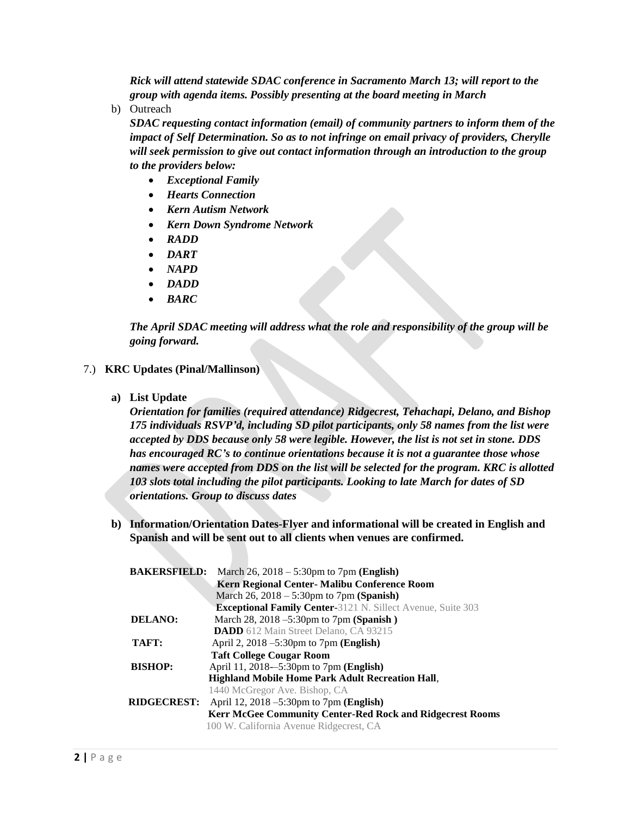*Rick will attend statewide SDAC conference in Sacramento March 13; will report to the group with agenda items. Possibly presenting at the board meeting in March* 

b) Outreach

*SDAC requesting contact information (email) of community partners to inform them of the impact of Self Determination. So as to not infringe on email privacy of providers, Cherylle will seek permission to give out contact information through an introduction to the group to the providers below:*

- *Exceptional Family*
- *Hearts Connection*
- *Kern Autism Network*
- *Kern Down Syndrome Network*
- *RADD*
- *DART*
- *NAPD*
- *DADD*
- *BARC*

*The April SDAC meeting will address what the role and responsibility of the group will be going forward.* 

- 7.) **KRC Updates (Pinal/Mallinson)**
	- **a) List Update**

*Orientation for families (required attendance) Ridgecrest, Tehachapi, Delano, and Bishop 175 individuals RSVP'd, including SD pilot participants, only 58 names from the list were accepted by DDS because only 58 were legible. However, the list is not set in stone. DDS has encouraged RC's to continue orientations because it is not a guarantee those whose names were accepted from DDS on the list will be selected for the program. KRC is allotted 103 slots total including the pilot participants. Looking to late March for dates of SD orientations. Group to discuss dates*

**b) Information/Orientation Dates-Flyer and informational will be created in English and Spanish and will be sent out to all clients when venues are confirmed.** 

| <b>BAKERSFIELD:</b><br>March 26, $2018 - 5:30$ pm to 7pm ( <b>English</b> ) |
|-----------------------------------------------------------------------------|
| Kern Regional Center- Malibu Conference Room                                |
| March $26$ , $2018 - 5:30$ pm to $7$ pm (Spanish)                           |
| <b>Exceptional Family Center-3121 N. Sillect Avenue, Suite 303</b>          |
| March 28, 2018 –5:30pm to 7pm (Spanish)                                     |
| <b>DADD</b> 612 Main Street Delano, CA 93215                                |
| April 2, $2018 - 5:30$ pm to 7pm (English)                                  |
| <b>Taft College Cougar Room</b>                                             |
| April 11, 2018–5:30pm to 7pm (English)                                      |
| <b>Highland Mobile Home Park Adult Recreation Hall,</b>                     |
| 1440 McGregor Ave. Bishop, CA                                               |
| April 12, 2018 $-5:30$ pm to 7pm ( <b>English</b> )                         |
| Kerr McGee Community Center-Red Rock and Ridgecrest Rooms                   |
| 100 W. California Avenue Ridgecrest, CA                                     |
|                                                                             |